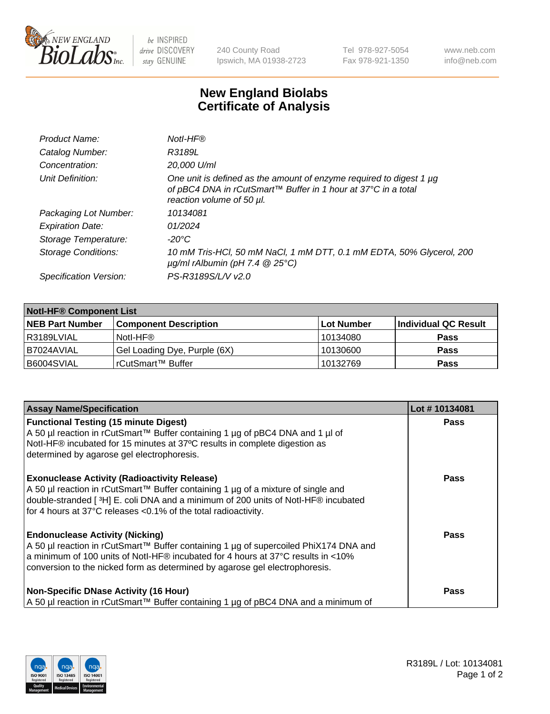

 $be$  INSPIRED drive DISCOVERY stay GENUINE

240 County Road Ipswich, MA 01938-2723 Tel 978-927-5054 Fax 978-921-1350 www.neb.com info@neb.com

## **New England Biolabs Certificate of Analysis**

| Product Name:              | Notl-HF®                                                                                                                                                          |
|----------------------------|-------------------------------------------------------------------------------------------------------------------------------------------------------------------|
| Catalog Number:            | R3189L                                                                                                                                                            |
| Concentration:             | 20,000 U/ml                                                                                                                                                       |
| Unit Definition:           | One unit is defined as the amount of enzyme required to digest 1 µg<br>of pBC4 DNA in rCutSmart™ Buffer in 1 hour at 37°C in a total<br>reaction volume of 50 µl. |
| Packaging Lot Number:      | 10134081                                                                                                                                                          |
| <b>Expiration Date:</b>    | 01/2024                                                                                                                                                           |
| Storage Temperature:       | $-20^{\circ}$ C                                                                                                                                                   |
| <b>Storage Conditions:</b> | 10 mM Tris-HCl, 50 mM NaCl, 1 mM DTT, 0.1 mM EDTA, 50% Glycerol, 200<br>$\mu$ g/ml rAlbumin (pH 7.4 $\circledR$ 25°C)                                             |
| Specification Version:     | PS-R3189S/L/V v2.0                                                                                                                                                |
|                            |                                                                                                                                                                   |

| <b>Notl-HF® Component List</b> |                              |            |                      |  |  |
|--------------------------------|------------------------------|------------|----------------------|--|--|
| <b>NEB Part Number</b>         | <b>Component Description</b> | Lot Number | Individual QC Result |  |  |
| R3189LVIAL                     | Notl-HF®                     | 10134080   | <b>Pass</b>          |  |  |
| B7024AVIAL                     | Gel Loading Dye, Purple (6X) | 10130600   | <b>Pass</b>          |  |  |
| B6004SVIAL                     | rCutSmart™ Buffer            | 10132769   | <b>Pass</b>          |  |  |

| <b>Assay Name/Specification</b>                                                                                                                                                                                                                                                                   | Lot #10134081 |
|---------------------------------------------------------------------------------------------------------------------------------------------------------------------------------------------------------------------------------------------------------------------------------------------------|---------------|
| <b>Functional Testing (15 minute Digest)</b><br>A 50 µl reaction in rCutSmart™ Buffer containing 1 µg of pBC4 DNA and 1 µl of                                                                                                                                                                     | <b>Pass</b>   |
| Notl-HF® incubated for 15 minutes at 37°C results in complete digestion as<br>determined by agarose gel electrophoresis.                                                                                                                                                                          |               |
| <b>Exonuclease Activity (Radioactivity Release)</b><br>A 50 µl reaction in rCutSmart™ Buffer containing 1 µg of a mixture of single and<br>double-stranded [3H] E. coli DNA and a minimum of 200 units of Notl-HF® incubated<br>for 4 hours at 37°C releases <0.1% of the total radioactivity.    | <b>Pass</b>   |
| <b>Endonuclease Activity (Nicking)</b><br>A 50 µl reaction in rCutSmart™ Buffer containing 1 µg of supercoiled PhiX174 DNA and<br>a minimum of 100 units of Notl-HF® incubated for 4 hours at 37°C results in <10%<br>conversion to the nicked form as determined by agarose gel electrophoresis. | Pass          |
| <b>Non-Specific DNase Activity (16 Hour)</b><br>A 50 µl reaction in rCutSmart™ Buffer containing 1 µg of pBC4 DNA and a minimum of                                                                                                                                                                | <b>Pass</b>   |